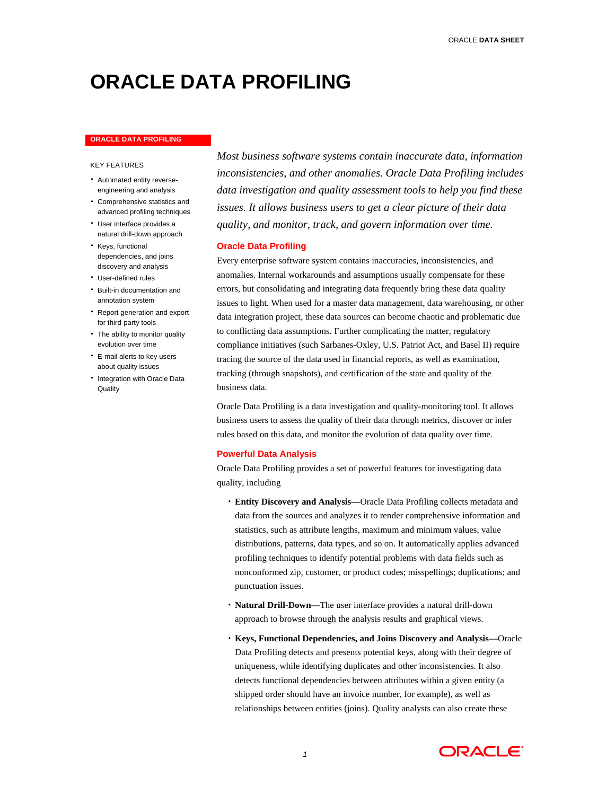# **ORACLE DATA PROFILING**

#### **ORACLE DATA PROFILING**

### KEY FEATURES

- Automated entity reverseengineering and analysis
- Comprehensive statistics and advanced profiling techniques
- User interface provides a natural drill-down approach
- Keys, functional dependencies, and joins discovery and analysis
- User-defined rules
- Built-in documentation and annotation system
- Report generation and export for third-party tools
- The ability to monitor quality evolution over time
- E-mail alerts to key users about quality issues
- Integration with Oracle Data **Quality**

*Most business software systems contain inaccurate data, information inconsistencies, and other anomalies. Oracle Data Profiling includes data investigation and quality assessment tools to help you find these issues. It allows business users to get a clear picture of their data quality, and monitor, track, and govern information over time.* 

# **Oracle Data Profiling**

Every enterprise software system contains inaccuracies, inconsistencies, and anomalies. Internal workarounds and assumptions usually compensate for these errors, but consolidating and integrating data frequently bring these data quality issues to light. When used for a master data management, data warehousing, or other data integration project, these data sources can become chaotic and problematic due to conflicting data assumptions. Further complicating the matter, regulatory compliance initiatives (such Sarbanes-Oxley, U.S. Patriot Act, and Basel II) require tracing the source of the data used in financial reports, as well as examination, tracking (through snapshots), and certification of the state and quality of the business data.

Oracle Data Profiling is a data investigation and quality-monitoring tool. It allows business users to assess the quality of their data through metrics, discover or infer rules based on this data, and monitor the evolution of data quality over time.

# **Powerful Data Analysis**

Oracle Data Profiling provides a set of powerful features for investigating data quality, including

- **Entity Discovery and Analysis—**Oracle Data Profiling collects metadata and data from the sources and analyzes it to render comprehensive information and statistics, such as attribute lengths, maximum and minimum values, value distributions, patterns, data types, and so on. It automatically applies advanced profiling techniques to identify potential problems with data fields such as nonconformed zip, customer, or product codes; misspellings; duplications; and punctuation issues.
- **Natural Drill-Down—**The user interface provides a natural drill-down approach to browse through the analysis results and graphical views.
- **Keys, Functional Dependencies, and Joins Discovery and Analysis—**Oracle Data Profiling detects and presents potential keys, along with their degree of uniqueness, while identifying duplicates and other inconsistencies. It also detects functional dependencies between attributes within a given entity (a shipped order should have an invoice number, for example), as well as relationships between entities (joins). Quality analysts can also create these